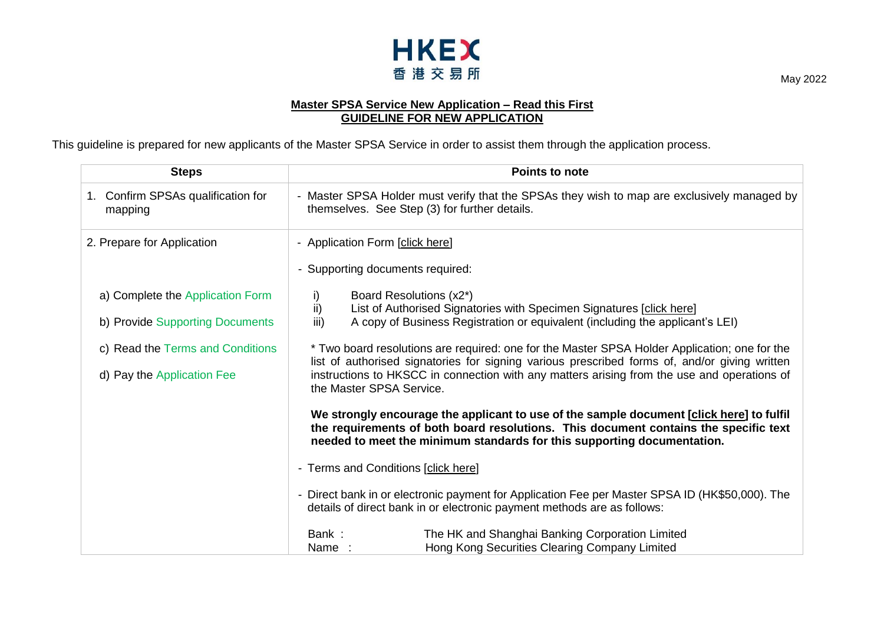

## **Master SPSA Service New Application – Read this First GUIDELINE FOR NEW APPLICATION**

This guideline is prepared for new applicants of the Master SPSA Service in order to assist them through the application process.

| <b>Steps</b>                                                                                                                          | <b>Points to note</b>                                                                                                                                                                                                                                                                                                                                                                                                                                                                                                                                                                                                                                                                                                                                                                                                                                                                                                                                                                                                                                                                                                                        |
|---------------------------------------------------------------------------------------------------------------------------------------|----------------------------------------------------------------------------------------------------------------------------------------------------------------------------------------------------------------------------------------------------------------------------------------------------------------------------------------------------------------------------------------------------------------------------------------------------------------------------------------------------------------------------------------------------------------------------------------------------------------------------------------------------------------------------------------------------------------------------------------------------------------------------------------------------------------------------------------------------------------------------------------------------------------------------------------------------------------------------------------------------------------------------------------------------------------------------------------------------------------------------------------------|
| 1. Confirm SPSAs qualification for<br>mapping                                                                                         | - Master SPSA Holder must verify that the SPSAs they wish to map are exclusively managed by<br>themselves. See Step (3) for further details.                                                                                                                                                                                                                                                                                                                                                                                                                                                                                                                                                                                                                                                                                                                                                                                                                                                                                                                                                                                                 |
| 2. Prepare for Application                                                                                                            | - Application Form [click here]<br>- Supporting documents required:                                                                                                                                                                                                                                                                                                                                                                                                                                                                                                                                                                                                                                                                                                                                                                                                                                                                                                                                                                                                                                                                          |
| a) Complete the Application Form<br>b) Provide Supporting Documents<br>c) Read the Terms and Conditions<br>d) Pay the Application Fee | Board Resolutions (x2*)<br>i)<br>ii)<br>List of Authorised Signatories with Specimen Signatures [click here]<br>iii)<br>A copy of Business Registration or equivalent (including the applicant's LEI)<br>* Two board resolutions are required: one for the Master SPSA Holder Application; one for the<br>list of authorised signatories for signing various prescribed forms of, and/or giving written<br>instructions to HKSCC in connection with any matters arising from the use and operations of<br>the Master SPSA Service.<br>We strongly encourage the applicant to use of the sample document [click here] to fulfil<br>the requirements of both board resolutions. This document contains the specific text<br>needed to meet the minimum standards for this supporting documentation.<br>- Terms and Conditions [click here]<br>- Direct bank in or electronic payment for Application Fee per Master SPSA ID (HK\$50,000). The<br>details of direct bank in or electronic payment methods are as follows:<br>The HK and Shanghai Banking Corporation Limited<br>Bank:<br>Hong Kong Securities Clearing Company Limited<br>Name: |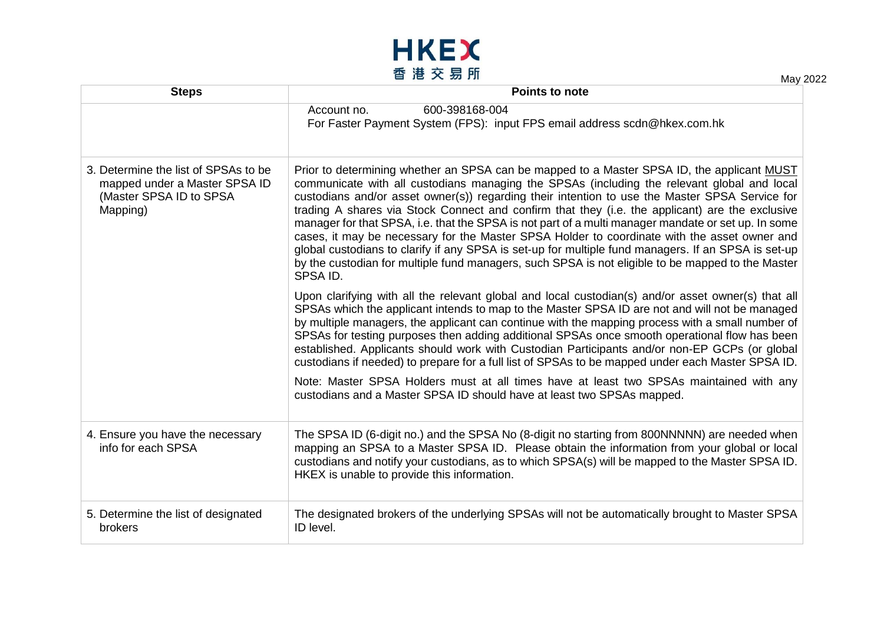

| - 12 $\sim$ 20 Ji<br>May 2022                                                                                |                                                                                                                                                                                                                                                                                                                                                                                                                                                                                                                                                                                                                                                                                                                                                                                                                               |
|--------------------------------------------------------------------------------------------------------------|-------------------------------------------------------------------------------------------------------------------------------------------------------------------------------------------------------------------------------------------------------------------------------------------------------------------------------------------------------------------------------------------------------------------------------------------------------------------------------------------------------------------------------------------------------------------------------------------------------------------------------------------------------------------------------------------------------------------------------------------------------------------------------------------------------------------------------|
| <b>Steps</b>                                                                                                 | <b>Points to note</b>                                                                                                                                                                                                                                                                                                                                                                                                                                                                                                                                                                                                                                                                                                                                                                                                         |
|                                                                                                              | 600-398168-004<br>Account no.<br>For Faster Payment System (FPS): input FPS email address scdn@hkex.com.hk                                                                                                                                                                                                                                                                                                                                                                                                                                                                                                                                                                                                                                                                                                                    |
| 3. Determine the list of SPSAs to be<br>mapped under a Master SPSA ID<br>(Master SPSA ID to SPSA<br>Mapping) | Prior to determining whether an SPSA can be mapped to a Master SPSA ID, the applicant MUST<br>communicate with all custodians managing the SPSAs (including the relevant global and local<br>custodians and/or asset owner(s)) regarding their intention to use the Master SPSA Service for<br>trading A shares via Stock Connect and confirm that they (i.e. the applicant) are the exclusive<br>manager for that SPSA, i.e. that the SPSA is not part of a multi manager mandate or set up. In some<br>cases, it may be necessary for the Master SPSA Holder to coordinate with the asset owner and<br>global custodians to clarify if any SPSA is set-up for multiple fund managers. If an SPSA is set-up<br>by the custodian for multiple fund managers, such SPSA is not eligible to be mapped to the Master<br>SPSA ID. |
|                                                                                                              | Upon clarifying with all the relevant global and local custodian(s) and/or asset owner(s) that all<br>SPSAs which the applicant intends to map to the Master SPSA ID are not and will not be managed<br>by multiple managers, the applicant can continue with the mapping process with a small number of<br>SPSAs for testing purposes then adding additional SPSAs once smooth operational flow has been<br>established. Applicants should work with Custodian Participants and/or non-EP GCPs (or global<br>custodians if needed) to prepare for a full list of SPSAs to be mapped under each Master SPSA ID.                                                                                                                                                                                                               |
|                                                                                                              | Note: Master SPSA Holders must at all times have at least two SPSAs maintained with any<br>custodians and a Master SPSA ID should have at least two SPSAs mapped.                                                                                                                                                                                                                                                                                                                                                                                                                                                                                                                                                                                                                                                             |
| 4. Ensure you have the necessary<br>info for each SPSA                                                       | The SPSA ID (6-digit no.) and the SPSA No (8-digit no starting from 800NNNNN) are needed when<br>mapping an SPSA to a Master SPSA ID. Please obtain the information from your global or local<br>custodians and notify your custodians, as to which SPSA(s) will be mapped to the Master SPSA ID.<br>HKEX is unable to provide this information.                                                                                                                                                                                                                                                                                                                                                                                                                                                                              |
| 5. Determine the list of designated<br>brokers                                                               | The designated brokers of the underlying SPSAs will not be automatically brought to Master SPSA<br>ID level.                                                                                                                                                                                                                                                                                                                                                                                                                                                                                                                                                                                                                                                                                                                  |
|                                                                                                              |                                                                                                                                                                                                                                                                                                                                                                                                                                                                                                                                                                                                                                                                                                                                                                                                                               |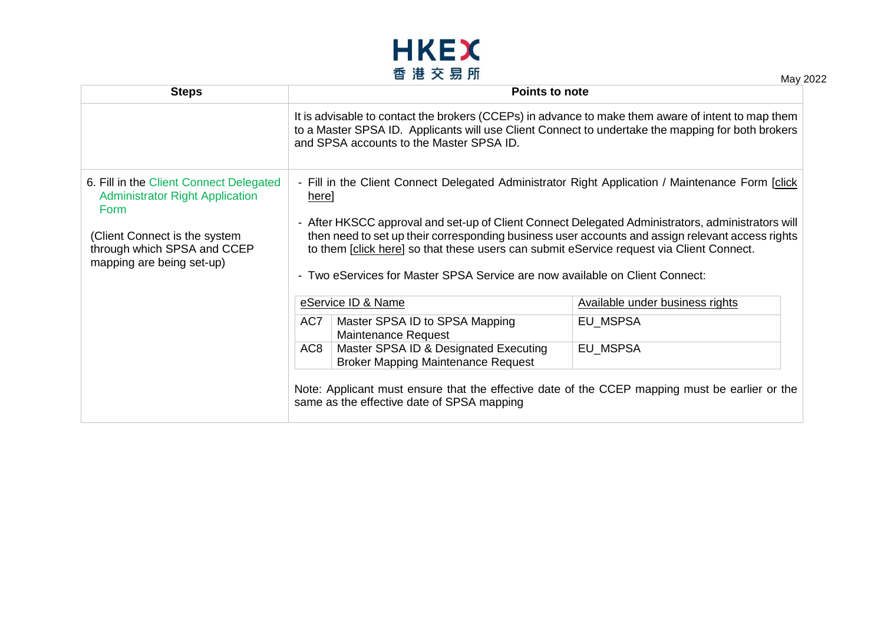

**Steps Points to note** It is advisable to contact the brokers (CCEPs) in advance to make them aware of intent to map them to a Master SPSA ID. Applicants will use Client Connect to undertake the mapping for both brokers and SPSA accounts to the Master SPSA ID. 6. Fill in the Client Connect Delegated Administrator Right Application Form (Client Connect is the system through which SPSA and CCEP mapping are being set-up) - Fill in the Client Connect Delegated Administrator Right Application / Maintenance Form [\[click](https://www.hkex.com.hk/-/media/HKEX-Market/Services/Next-Generation-Post-Trade-Programme/Client-Connect-Delegated-Administrator-Rights-Application_Maintenance-Form.pdf?la=en)  [here\]](https://www.hkex.com.hk/-/media/HKEX-Market/Services/Next-Generation-Post-Trade-Programme/Client-Connect-Delegated-Administrator-Rights-Application_Maintenance-Form.pdf?la=en) - After HKSCC approval and set-up of Client Connect Delegated Administrators, administrators will then need to set up their corresponding business user accounts and assign relevant access rights to them [\[click here\]](https://www.hkex.com.hk/-/media/HKEX-Market/Services/Next-Generation-Post-Trade-Programme/Stock-connect-User-manual/Client-Connect_Sect32_User-Management.pdf?la=en) so that these users can submit eService request via Client Connect. - Two eServices for Master SPSA Service are now available on Client Connect: eService ID & Name Available under business rights AC7 | Master SPSA ID to SPSA Mapping Maintenance Request EU\_MSPSA AC8 Master SPSA ID & Designated Executing Broker Mapping Maintenance Request EU\_MSPSA Note: Applicant must ensure that the effective date of the CCEP mapping must be earlier or the same as the effective date of SPSA mapping

May 2022